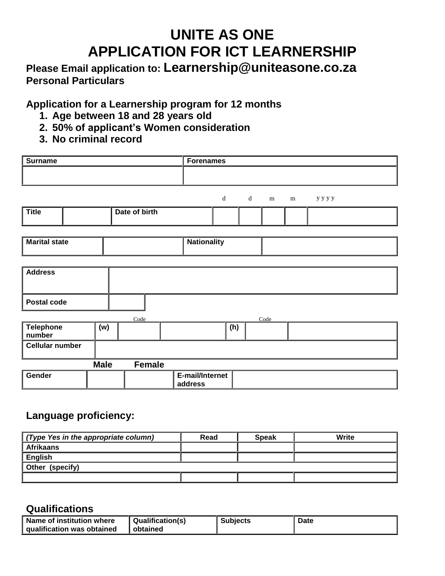# **UNITE AS ONE APPLICATION FOR ICT LEARNERSHIP**

# **Please Email application to: Learnership@uniteasone.co.za Personal Particulars**

**Application for a Learnership program for 12 months**

- **1. Age between 18 and 28 years old**
- **2. 50% of applicant's Women consideration**
- **3. No criminal record**

| <b>Surname</b>             |             |               | <b>Forenames</b>           |                                                                                                                |             |      |   |      |
|----------------------------|-------------|---------------|----------------------------|----------------------------------------------------------------------------------------------------------------|-------------|------|---|------|
|                            |             |               |                            |                                                                                                                |             |      |   |      |
|                            |             |               |                            |                                                                                                                |             |      |   |      |
|                            |             |               |                            | $\mathrm{d}% \left\vert \mathbf{r}^{\prime }\right\vert =\mathrm{d}\left\vert \mathbf{r}^{\prime }\right\vert$ | $\mathbf d$ | m    | m | уууу |
| <b>Title</b>               |             | Date of birth |                            |                                                                                                                |             |      |   |      |
|                            |             |               |                            |                                                                                                                |             |      |   |      |
| <b>Marital state</b>       |             |               | <b>Nationality</b>         |                                                                                                                |             |      |   |      |
|                            |             |               |                            |                                                                                                                |             |      |   |      |
| <b>Address</b>             |             |               |                            |                                                                                                                |             |      |   |      |
|                            |             |               |                            |                                                                                                                |             |      |   |      |
| Postal code                |             |               |                            |                                                                                                                |             |      |   |      |
|                            |             | Code          |                            |                                                                                                                |             | Code |   |      |
| <b>Telephone</b><br>number | (w)         |               |                            | (h)                                                                                                            |             |      |   |      |
| <b>Cellular number</b>     |             |               |                            |                                                                                                                |             |      |   |      |
|                            | <b>Male</b> | <b>Female</b> |                            |                                                                                                                |             |      |   |      |
| Gender                     |             |               | E-mail/Internet<br>address |                                                                                                                |             |      |   |      |

## **Language proficiency:**

| (Type Yes in the appropriate column) | Read | <b>Speak</b> | Write |
|--------------------------------------|------|--------------|-------|
| <b>Afrikaans</b>                     |      |              |       |
| <b>English</b>                       |      |              |       |
| Other (specify)                      |      |              |       |
|                                      |      |              |       |

## **Qualifications**

| Name of institution where<br>qualification was obtained<br>obtained | <b>Qualification(s)</b><br><b>Subjects</b> | Date |
|---------------------------------------------------------------------|--------------------------------------------|------|
|---------------------------------------------------------------------|--------------------------------------------|------|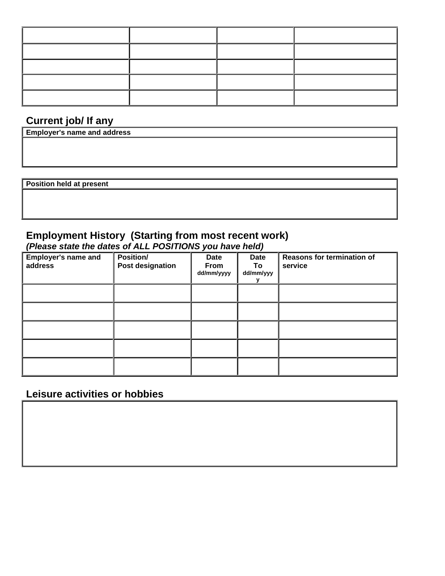|  | ____ |  |
|--|------|--|
|  |      |  |

## **Current job/ If any**

| <b>Employer's name and address</b> |  |  |
|------------------------------------|--|--|
|                                    |  |  |
|                                    |  |  |
|                                    |  |  |
|                                    |  |  |
| Position held at present           |  |  |
|                                    |  |  |
|                                    |  |  |
|                                    |  |  |

# **Employment History (Starting from most recent work)**

*(Please state the dates of ALL POSITIONS you have held)*

| <b>Employer's name and</b><br>address | Position/<br>Post designation | Date<br>From<br>dd/mm/yyyy | Date<br>To<br>dd/mm/yyy | Reasons for termination of<br>service |
|---------------------------------------|-------------------------------|----------------------------|-------------------------|---------------------------------------|
|                                       |                               |                            |                         |                                       |
|                                       |                               |                            |                         |                                       |
|                                       |                               |                            |                         |                                       |
|                                       |                               |                            |                         |                                       |
|                                       |                               |                            |                         |                                       |

## **Leisure activities or hobbies**